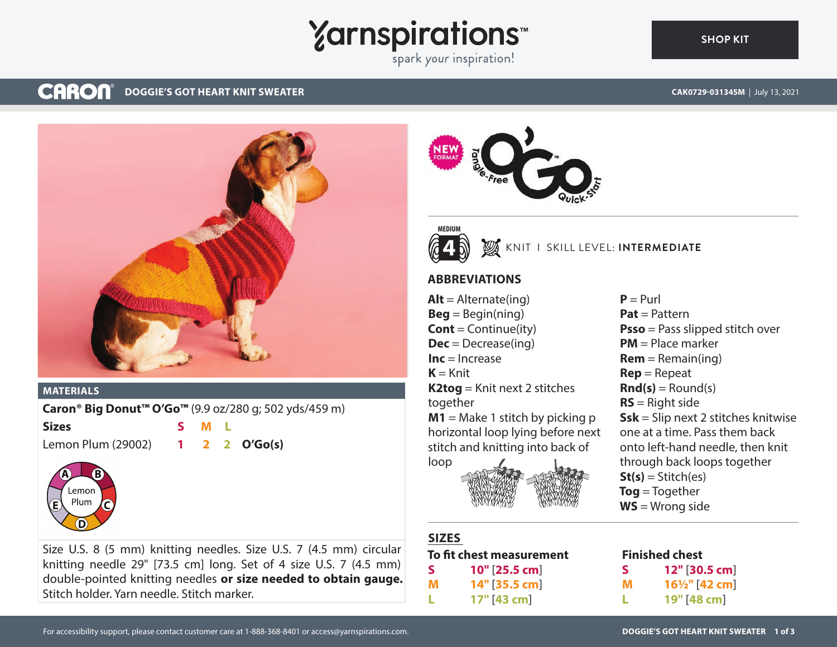## **Yarnspirations**

spark your inspiration!

### **CARON® DOGGIE'S GOT HEART KNIT SWEATER**





### **MATERIALS**

**Caron® Big Donut™ O'Go™** (9.9 oz/280 g; 502 yds/459 m)

**Sizes S M L**

Lemon Plum (29002) **1 2 2 O'Go(s)**



Size U.S. 8 (5 mm) knitting needles. Size U.S. 7 (4.5 mm) circular knitting needle 29" [73.5 cm] long. Set of 4 size U.S. 7 (4.5 mm) double-pointed knitting needles **or size needed to obtain gauge.** Stitch holder. Yarn needle. Stitch marker.



### KNIT I SKILL LEVEL: **INTERMEDIATE**

### **ABBREVIATIONS**

 $Alt =$  Alternate(ing)  $\textbf{Beg} = \text{Begin}(ning)$ **Cont** = Continue(ity) **Dec** = Decrease(ing) **Inc** = Increase  $K = Knit$ **K2tog** = Knit next 2 stitches together **M1** = Make 1 stitch by picking p horizontal loop lying before next stitch and knitting into back of loop



### **SIZES**

### **To fit chest measurement S 10"** [**25.5 cm**] **M 14"** [**35.5 cm**]

**L 17"** [**43 cm**]

### **Finished chest**

| S |  |             | 12" [30.5 cm]             |
|---|--|-------------|---------------------------|
| м |  |             | $16\frac{1}{2}$ " [42 cm] |
|   |  | 19" [48 cm] |                           |

**CAK0729-031345M** | July 13, 2021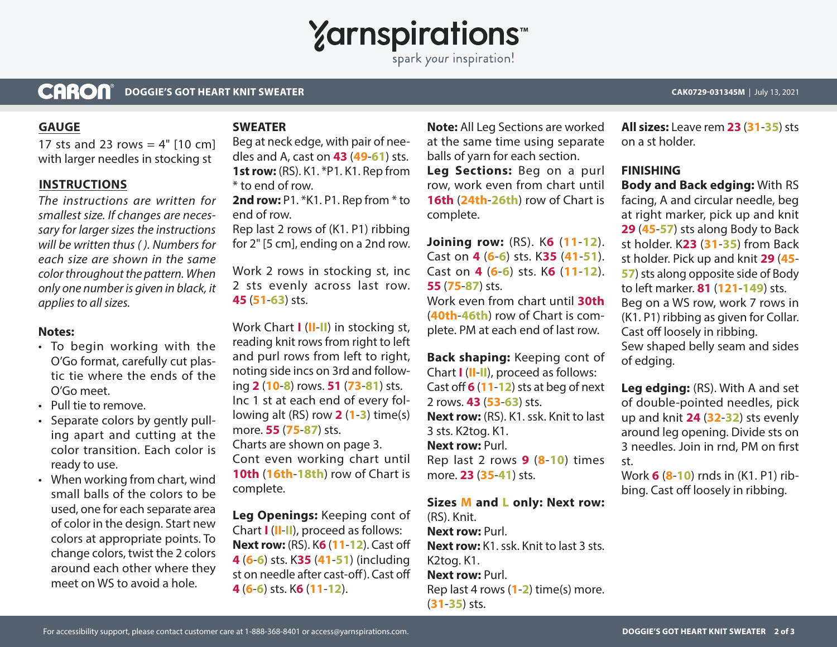## **Yarnspirations**

spark your inspiration!

### **CARON® DOGGIE'S GOT HEART KNIT SWEATER CAK0729-031345M** | July 13, 2021

### **GAUGE**

17 sts and 23 rows  $=$  4"  $[10 \text{ cm}]$ with larger needles in stocking st

### **INSTRUCTIONS**

*The instructions are written for smallest size. If changes are necessary for larger sizes the instructions will be written thus ( ). Numbers for each size are shown in the same color throughout the pattern. When only one number is given in black, it applies to all sizes.*

### **Notes:**

- To begin working with the O'Go format, carefully cut plastic tie where the ends of the O'Go meet.
- Pull tie to remove.
- Separate colors by gently pulling apart and cutting at the color transition. Each color is ready to use.
- When working from chart, wind small balls of the colors to be used, one for each separate area of color in the design. Start new colors at appropriate points. To change colors, twist the 2 colors around each other where they meet on WS to avoid a hole.

### **SWEATER**

Beg at neck edge, with pair of needles and A, cast on **43** (**49**-**61**) sts. **1st row:** (RS). K1. \*P1. K1. Rep from \* to end of row.

2nd row: P1. \*K1. P1. Rep from \* to end of row.

Rep last 2 rows of (K1. P1) ribbing for 2" [5 cm], ending on a 2nd row.

Work 2 rows in stocking st, inc 2 sts evenly across last row. **45** (**51**-**63**) sts.

Work Chart **I** (**II**-**II**) in stocking st, reading knit rows from right to left and purl rows from left to right, noting side incs on 3rd and following **2** (**10**-**8**) rows. **51** (**73**-**81**) sts. Inc 1 st at each end of every following alt (RS) row **2** (**1**-**3**) time(s) more. **55** (**75**-**87**) sts. Charts are shown on page 3. Cont even working chart until **10th** (**16th**-**18th**) row of Chart is complete.

**Leg Openings:** Keeping cont of Chart **I** (**II**-**II**), proceed as follows: **Next row:** (RS). K**6** (**11**-**12**). Cast off **4** (**6**-**6**) sts. K**35** (**41**-**51**) (including st on needle after cast-off). Cast off **4** (**6**-**6**) sts. K**6** (**11**-**12**).

**Note:** All Leg Sections are worked at the same time using separate balls of yarn for each section.

**Leg Sections:** Beg on a purl row, work even from chart until **16th** (**24th**-**26th**) row of Chart is complete.

**Joining row:** (RS). K**6** (**11**-**12**). Cast on **4** (**6**-**6**) sts. K**35** (**41**-**51**). Cast on **4** (**6**-**6**) sts. K**6** (**11**-**12**). **55** (**75**-**87**) sts.

Work even from chart until **30th**  (**40th**-**46th**) row of Chart is complete. PM at each end of last row.

**Back shaping:** Keeping cont of Chart **I** (**II**-**II**), proceed as follows: Cast off **6** (**11**-**12**) sts at beg of next 2 rows. **43** (**53**-**63**) sts. **Next row:** (RS). K1. ssk. Knit to last 3 sts. K2tog. K1. **Next row:** Purl. Rep last 2 rows **9** (**8**-**10**) times more. **23** (**35**-**41**) sts.

### **Sizes M and L only: Next row:**

(RS). Knit. **Next row:** Purl. **Next row:** K1. ssk. Knit to last 3 sts. K2tog. K1. **Next row:** Purl. Rep last 4 rows (**1**-**2**) time(s) more. (**31**-**35**) sts.

**All sizes:** Leave rem **23** (**31**-**35**) sts on a st holder.

### **FINISHING**

**Body and Back edging:** With RS facing, A and circular needle, beg at right marker, pick up and knit **29** (**45**-**57**) sts along Body to Back st holder. K**23** (**31**-**35**) from Back st holder. Pick up and knit **29** (**45**- **57**) sts along opposite side of Body to left marker. **81** (**121**-**149**) sts. Beg on a WS row, work 7 rows in (K1. P1) ribbing as given for Collar. Cast off loosely in ribbing. Sew shaped belly seam and sides of edging.

**Leg edging:** (RS). With A and set of double-pointed needles, pick up and knit **24** (**32**-**32**) sts evenly around leg opening. Divide sts on 3 needles. Join in rnd, PM on first st.

Work **6** (**8**-**10**) rnds in (K1. P1) ribbing. Cast off loosely in ribbing.